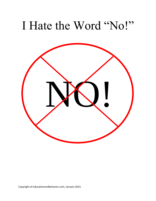## I Hate the Word "No!"

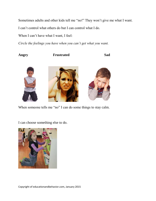Sometimes adults and other kids tell me "no!" They won't give me what I want.

I can't control what others do but I can control what I do.

When I can't have what I want, I feel:

*Circle the feelings you have when you can't get what you want.*

**Angry Frustrated Sad**

When someone tells me "no" I can do some things to stay calm.

I can choose something else to do.

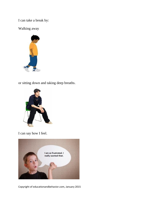I can take a break by:

Walking away



or sitting down and taking deep breaths.



I can say how I feel.



Copyright of educationandbehavior.com, January 2015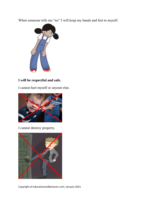When someone tells me "no" I will keep my hands and feet to myself.



## **I will be respectful and safe.**

I cannot hurt myself or anyone else.



I cannot destroy property.